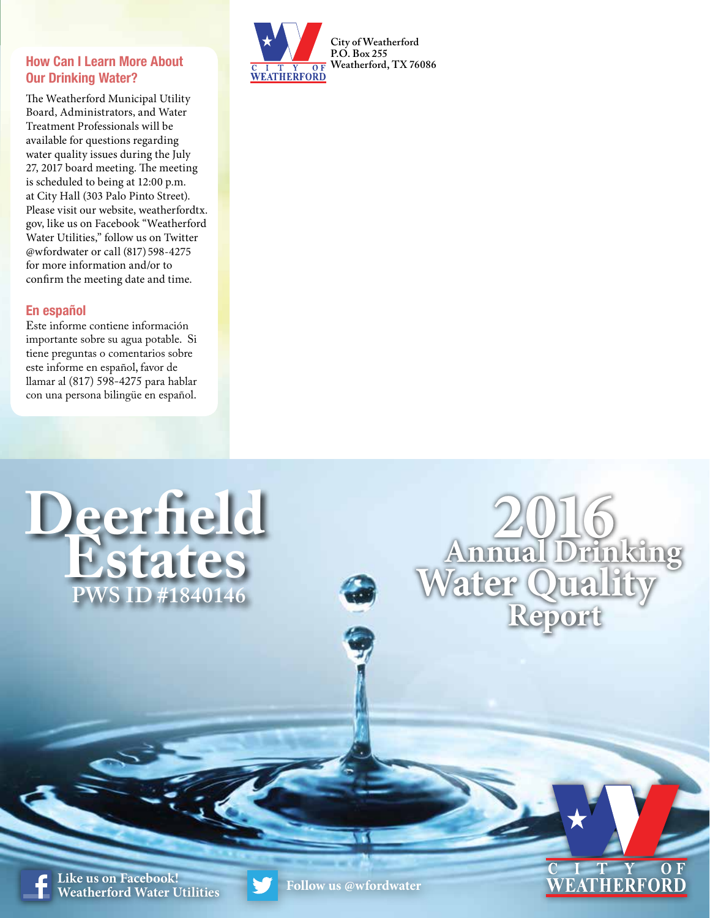## **How Can I Learn More About Our Drinking Water?**

The Weatherford Municipal Utility Board, Administrators, and Water Treatment Professionals will be available for questions regarding water quality issues during the July 27, 2017 board meeting. The meeting is scheduled to being at 12:00 p.m. at City Hall (303 Palo Pinto Street). Please visit our website, weatherfordtx. gov, like us on Facebook "Weatherford Water Utilities," follow us on Twitter @wfordwater or call (817) 598-4275 for more information and/or to confirm the meeting date and time.

## **En español**

Este informe contiene información importante sobre su agua potable. Si tiene preguntas o comentarios sobre este informe en español, favor de llamar al (817) 598-4275 para hablar con una persona bilingüe en español.

**Deerfield**

 **Estates**

**PWS ID #1840146**



**2016 Annual Drinking Water Qua Report**

> $\overline{T}$ **EATHERFO**

**Like us on Facebook! EINE US OII FACEDOOK:**<br>Weatherford Water Utilities **Follow** us @wfordwater

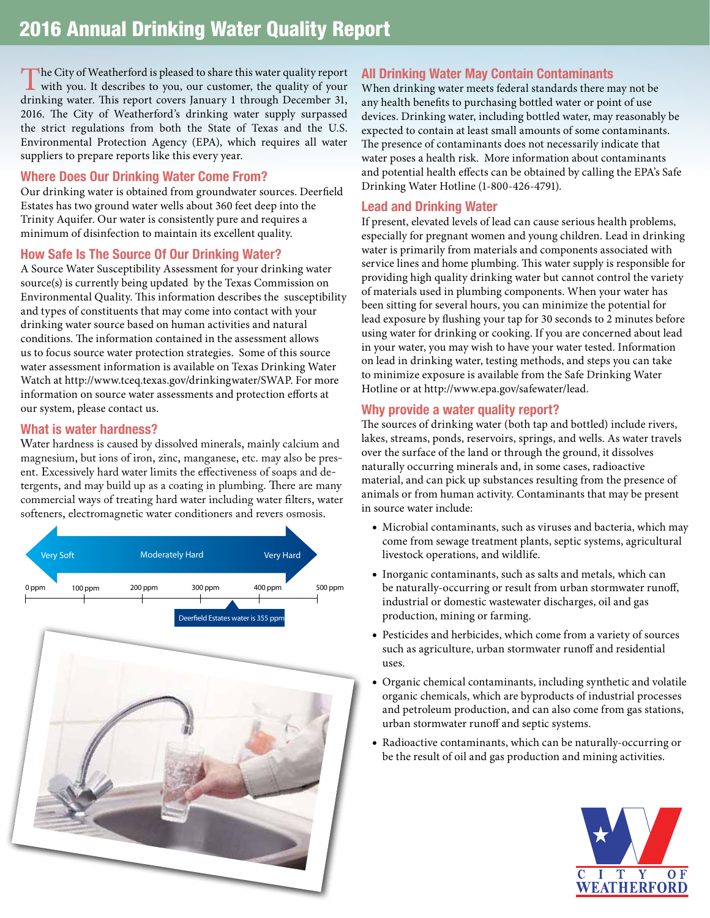The City of Weatherford is pleased to share this water quality report with you. It describes to you, our customer, the quality of your distribution reports. This appear to your Laurence 1 through December 21. drinking water. This report covers January 1 through December 31, 2016. The City of Weatherford's drinking water supply surpassed the strict regulations from both the State of Texas and the U.S. Environmental Protection Agency (EPA), which requires all water suppliers to prepare reports like this every year.

### **Where Does Our Drinking Water Come From?**

Our drinking water is obtained from groundwater sources. Deerfield Estates has two ground water wells about 360 feet deep into the Trinity Aquifer. Our water is consistently pure and requires a minimum of disinfection to maintain its excellent quality.

## **How Safe Is The Source Of Our Drinking Water?**

A Source Water Susceptibility Assessment for your drinking water source(s) is currently being updated by the Texas Commission on Environmental Quality. This information describes the susceptibility and types of constituents that may come into contact with your drinking water source based on human activities and natural conditions. The information contained in the assessment allows us to focus source water protection strategies. Some of this source water assessment information is available on Texas Drinking Water Watch at http://www.tceq.texas.gov/drinkingwater/SWAP. For more information on source water assessments and protection efforts at our system, please contact us.

## **What is water hardness?**

Water hardness is caused by dissolved minerals, mainly calcium and magnesium, but ions of iron, zinc, manganese, etc. may also be present. Excessively hard water limits the effectiveness of soaps and detergents, and may build up as a coating in plumbing. There are many commercial ways of treating hard water including water filters, water softeners, electromagnetic water conditioners and revers osmosis.



## **All Drinking Water May Contain Contaminants**

When drinking water meets federal standards there may not be any health benefits to purchasing bottled water or point of use devices. Drinking water, including bottled water, may reasonably be expected to contain at least small amounts of some contaminants. The presence of contaminants does not necessarily indicate that water poses a health risk. More information about contaminants and potential health effects can be obtained by calling the EPA's Safe Drinking Water Hotline (1-800-426-4791).

## **Lead and Drinking Water**

If present, elevated levels of lead can cause serious health problems, especially for pregnant women and young children. Lead in drinking water is primarily from materials and components associated with service lines and home plumbing. This water supply is responsible for providing high quality drinking water but cannot control the variety of materials used in plumbing components. When your water has been sitting for several hours, you can minimize the potential for lead exposure by flushing your tap for 30 seconds to 2 minutes before using water for drinking or cooking. If you are concerned about lead in your water, you may wish to have your water tested. Information on lead in drinking water, testing methods, and steps you can take to minimize exposure is available from the Safe Drinking Water Hotline or at http://www.epa.gov/safewater/lead.

## **Why provide a water quality report?**

The sources of drinking water (both tap and bottled) include rivers, lakes, streams, ponds, reservoirs, springs, and wells. As water travels over the surface of the land or through the ground, it dissolves naturally occurring minerals and, in some cases, radioactive material, and can pick up substances resulting from the presence of animals or from human activity. Contaminants that may be present in source water include:

- Microbial contaminants, such as viruses and bacteria, which may come from sewage treatment plants, septic systems, agricultural livestock operations, and wildlife.
- Inorganic contaminants, such as salts and metals, which can be naturally-occurring or result from urban stormwater runoff, industrial or domestic wastewater discharges, oil and gas production, mining or farming.
- Pesticides and herbicides, which come from a variety of sources such as agriculture, urban stormwater runoff and residential uses.
- Organic chemical contaminants, including synthetic and volatile organic chemicals, which are byproducts of industrial processes and petroleum production, and can also come from gas stations, urban stormwater runoff and septic systems.
- Radioactive contaminants, which can be naturally-occurring or be the result of oil and gas production and mining activities.

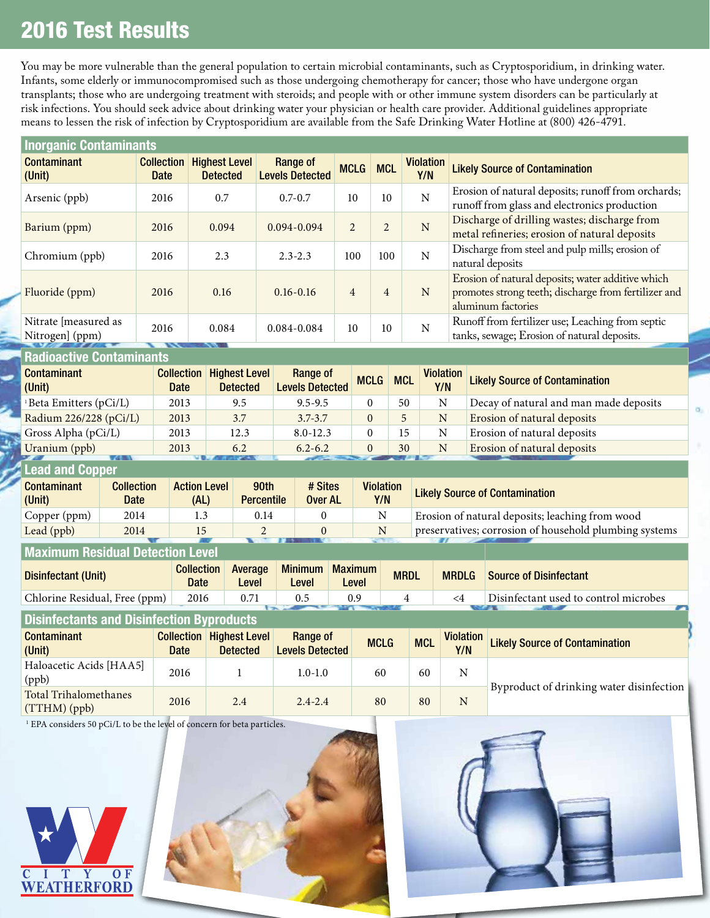# 2016 Test Results

You may be more vulnerable than the general population to certain microbial contaminants, such as Cryptosporidium, in drinking water. Infants, some elderly or immunocompromised such as those undergoing chemotherapy for cancer; those who have undergone organ transplants; those who are undergoing treatment with steroids; and people with or other immune system disorders can be particularly at risk infections. You should seek advice about drinking water your physician or health care provider. Additional guidelines appropriate means to lessen the risk of infection by Cryptosporidium are available from the Safe Drinking Water Hotline at (800) 426-4791.

| <b>Inorganic Contaminants</b>           |                                  |                                         |                                    |                |                |                         |                                                                                                                                 |  |  |
|-----------------------------------------|----------------------------------|-----------------------------------------|------------------------------------|----------------|----------------|-------------------------|---------------------------------------------------------------------------------------------------------------------------------|--|--|
| <b>Contaminant</b><br>(Unit)            | <b>Collection</b><br><b>Date</b> | <b>Highest Level</b><br><b>Detected</b> | Range of<br><b>Levels Detected</b> | <b>MCLG</b>    | <b>MCL</b>     | <b>Violation</b><br>Y/N | <b>Likely Source of Contamination</b>                                                                                           |  |  |
| Arsenic (ppb)                           | 2016                             | 0.7                                     | $0.7 - 0.7$                        | 10             | 10             | $\mathbf N$             | Erosion of natural deposits; runoff from orchards;<br>runoff from glass and electronics production                              |  |  |
| Barium (ppm)                            | 2016                             | 0.094                                   | $0.094 - 0.094$                    | $\mathfrak{D}$ | $\mathfrak{D}$ | N                       | Discharge of drilling wastes; discharge from<br>metal refineries; erosion of natural deposits                                   |  |  |
| Chromium (ppb)                          | 2016                             | 2.3                                     | $2.3 - 2.3$                        | 100            | 100            | N                       | Discharge from steel and pulp mills; erosion of<br>natural deposits                                                             |  |  |
| Fluoride (ppm)                          | 2016                             | 0.16                                    | $0.16 - 0.16$                      | $\overline{4}$ | $\overline{4}$ | N                       | Erosion of natural deposits; water additive which<br>promotes strong teeth; discharge from fertilizer and<br>aluminum factories |  |  |
| Nitrate [measured as<br>Nitrogen] (ppm) | 2016                             | 0.084                                   | $0.084 - 0.084$                    | 10             | 10             | N                       | Runoff from fertilizer use; Leaching from septic<br>tanks, sewage; Erosion of natural deposits.                                 |  |  |
|                                         |                                  |                                         |                                    |                |                |                         |                                                                                                                                 |  |  |

#### **Radioactive Contaminants**

| <b>Contaminant</b><br>(Unit)       | <b>Collection</b><br><b>Date</b> | <b>Highest Level</b><br><b>Detected</b> | Range of<br><b>Levels Detected</b> | <b>MCLG</b> | <b>MCL</b> | <b>Violation</b><br>Y/N | <b>Likely Source of Contamination</b>  |
|------------------------------------|----------------------------------|-----------------------------------------|------------------------------------|-------------|------------|-------------------------|----------------------------------------|
| <sup>1</sup> Beta Emitters (pCi/L) | 2013                             | 9.5                                     | $9.5 - 9.5$                        |             | 50         | N                       | Decay of natural and man made deposits |
| Radium 226/228 (pCi/L)             | 2013                             | 3.7                                     | $3.7 - 3.7$                        | $\Omega$    |            | N                       | Erosion of natural deposits            |
| Gross Alpha (pCi/L)                | 2013                             | 12.3                                    | $8.0 - 12.3$                       |             | 15         | N                       | Erosion of natural deposits            |
| Uranium (ppb)                      | 2013                             | 6.2                                     | $6.2 - 6.2$                        |             | 30         | N                       | Erosion of natural deposits            |
| .                                  |                                  |                                         |                                    |             |            |                         |                                        |

#### **Lead and Copper**

| <b>Contaminant</b><br>(Unit) | <b>Collection</b><br>Date | <b>Action Level</b><br>(AL) | 90th<br><b>Percentile</b> | # Sites<br>Over AL | <b>Violation</b><br>Y/N | <b>Likely Source of Contamination</b>                  |
|------------------------------|---------------------------|-----------------------------|---------------------------|--------------------|-------------------------|--------------------------------------------------------|
| Copper (ppm)                 | 2014                      | 1.3                         | 0.14                      |                    |                         | Erosion of natural deposits; leaching from wood        |
| Lead (ppb)                   | 2014                      |                             |                           |                    | N                       | preservatives; corrosion of household plumbing systems |
|                              |                           |                             |                           |                    |                         |                                                        |

# **Maximum Residual Detection Level**

| Disinfectant (Unit)           | <b>Collection</b><br>Date | Average<br>Level | <b>Minimum</b><br>Level | <b>Maximum</b><br>Level | <b>MRDL</b> | <b>MRDLG</b> | Source of Disinfectant                |
|-------------------------------|---------------------------|------------------|-------------------------|-------------------------|-------------|--------------|---------------------------------------|
| Chlorine Residual, Free (ppm) | 2016                      |                  |                         |                         |             |              | Disinfectant used to control microbes |
|                               |                           |                  |                         |                         |             |              |                                       |

## **Disinfectants and Disinfection Byproducts**

| <b>Contaminant</b><br>(Unit)          | <b>Collection</b><br><b>Date</b> | <b>Highest Level</b><br><b>Detected</b> | Range of<br><b>Levels Detected</b> | <b>MCLG</b> | <b>MCL</b> | Violation<br>Y/N | <b>Likely Source of Contamination</b>    |  |
|---------------------------------------|----------------------------------|-----------------------------------------|------------------------------------|-------------|------------|------------------|------------------------------------------|--|
| Haloacetic Acids [HAA5]<br>(ppb)      | 2016                             |                                         | $1.0 - 1.0$                        | 60          | 60         | N                |                                          |  |
| Total Trihalomethanes<br>(TTHM) (ppb) | 2016                             | 2.4                                     | $2.4 - 2.4$                        | 80          | 80         | N                | Byproduct of drinking water disinfection |  |

<sup>1</sup> EPA considers 50 pCi/L to be the level of concern for beta particles.